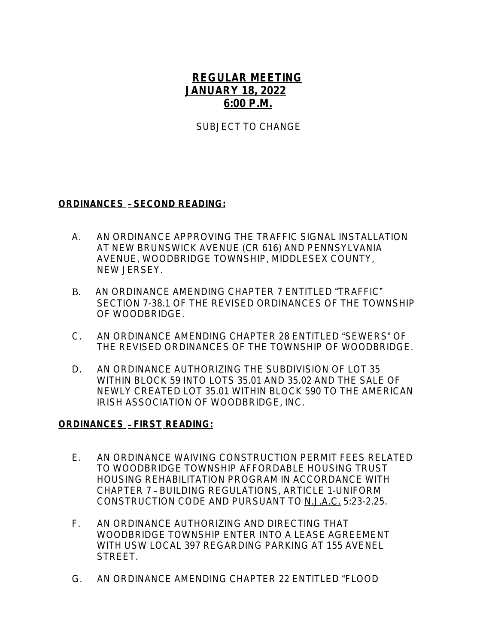## **REGULAR MEETING JANUARY 18, 2022 6:00 P.M.**

SUBJECT TO CHANGE

## **ORDINANCES** – **SECOND READING:**

- A.AN ORDINANCE APPROVING THE TRAFFIC SIGNAL INSTALLATION AT NEW BRUNSWICK AVENUE (CR 616) AND PENNSYLVANIA AVENUE, WOODBRIDGE TOWNSHIP, MIDDLESEX COUNTY, NEW JERSEY.
- B. AN ORDINANCE AMENDING CHAPTER 7 ENTITLED "TRAFFIC" SECTION 7-38.1 OF THE REVISED ORDINANCES OF THE TOWNSHIP OF WOODBRIDGE.
- C. AN ORDINANCE AMENDING CHAPTER 28 ENTITLED "SEWERS" OF THE REVISED ORDINANCES OF THE TOWNSHIP OF WOODBRIDGE.
- D. AN ORDINANCE AUTHORIZING THE SUBDIVISION OF LOT 35 WITHIN BLOCK 59 INTO LOTS 35.01 AND 35.02 AND THE SALE OF NEWLY CREATED LOT 35.01 WITHIN BLOCK 590 TO THE AMERICAN IRISH ASSOCIATION OF WOODBRIDGE, INC.

## **ORDINANCES** – **FIRST READING:**

- E.AN ORDINANCE WAIVING CONSTRUCTION PERMIT FEES RELATED TO WOODBRIDGE TOWNSHIP AFFORDABLE HOUSING TRUST HOUSING REHABILITATION PROGRAM IN ACCORDANCE WITH CHAPTER 7 – BUILDING REGULATIONS, ARTICLE 1-UNIFORM CONSTRUCTION CODE AND PURSUANT TO N.J.A.C. 5:23-2.25.
- F. AN ORDINANCE AUTHORIZING AND DIRECTING THAT WOODBRIDGE TOWNSHIP ENTER INTO A LEASE AGREEMENT WITH USW LOCAL 397 REGARDING PARKING AT 155 AVENEL STRFFT.
- G. AN ORDINANCE AMENDING CHAPTER 22 ENTITLED "FLOOD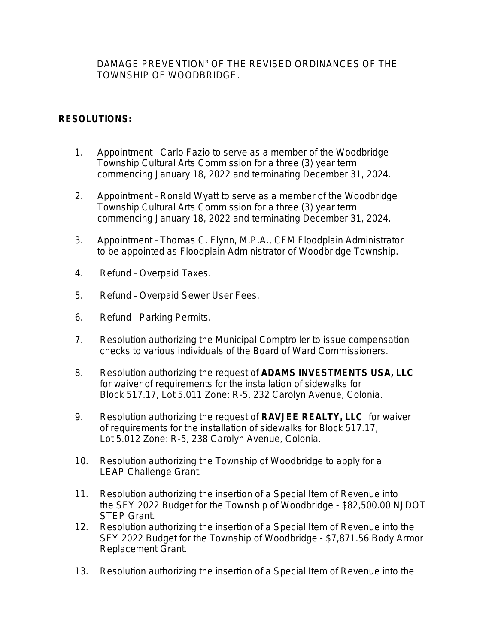DAMAGE PREVENTION" OF THE REVISED ORDINANCES OF THE TOWNSHIP OF WOODBRIDGE.

## **RESOLUTIONS:**

- 1. Appointment Carlo Fazio to serve as a member of the Woodbridge Township Cultural Arts Commission for a three (3) year term commencing January 18, 2022 and terminating December 31, 2024.
- 2. Appointment Ronald Wyatt to serve as a member of the Woodbridge Township Cultural Arts Commission for a three (3) year term commencing January 18, 2022 and terminating December 31, 2024.
- 3. Appointment Thomas C. Flynn, M.P.A., CFM Floodplain Administrator to be appointed as Floodplain Administrator of Woodbridge Township.
- 4. Refund Overpaid Taxes.
- 5. Refund Overpaid Sewer User Fees.
- 6. Refund Parking Permits.
- 7. Resolution authorizing the Municipal Comptroller to issue compensation checks to various individuals of the Board of Ward Commissioners.
- 8. Resolution authorizing the request of **ADAMS INVESTMENTS USA, LLC** for waiver of requirements for the installation of sidewalks for Block 517.17, Lot 5.011 Zone: R-5, 232 Carolyn Avenue, Colonia.
- 9. Resolution authorizing the request of **RAVJEE REALTY, LLC** for waiver of requirements for the installation of sidewalks for Block 517.17, Lot 5.012 Zone: R-5, 238 Carolyn Avenue, Colonia.
- 10. Resolution authorizing the Township of Woodbridge to apply for a LEAP Challenge Grant.
- 11. Resolution authorizing the insertion of a Special Item of Revenue into the SFY 2022 Budget for the Township of Woodbridge - \$82,500.00 NJDOT STEP Grant.
- 12. Resolution authorizing the insertion of a Special Item of Revenue into the SFY 2022 Budget for the Township of Woodbridge - \$7,871.56 Body Armor Replacement Grant.
- 13. Resolution authorizing the insertion of a Special Item of Revenue into the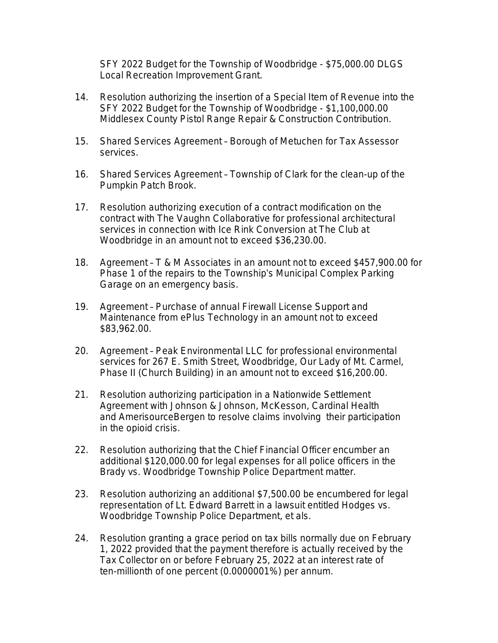SFY 2022 Budget for the Township of Woodbridge - \$75,000.00 DLGS Local Recreation Improvement Grant.

- 14. Resolution authorizing the insertion of a Special Item of Revenue into the SFY 2022 Budget for the Township of Woodbridge - \$1,100,000.00 Middlesex County Pistol Range Repair & Construction Contribution.
- 15. Shared Services Agreement Borough of Metuchen for Tax Assessor services.
- 16. Shared Services Agreement Township of Clark for the clean-up of the Pumpkin Patch Brook.
- 17. Resolution authorizing execution of a contract modification on the contract with The Vaughn Collaborative for professional architectural services in connection with Ice Rink Conversion at The Club at Woodbridge in an amount not to exceed \$36,230.00.
- 18. Agreement T & M Associates in an amount not to exceed \$457,900.00 for Phase 1 of the repairs to the Township's Municipal Complex Parking Garage on an emergency basis.
- 19. Agreement Purchase of annual Firewall License Support and Maintenance from ePlus Technology in an amount not to exceed \$83,962.00.
- 20. Agreement Peak Environmental LLC for professional environmental services for 267 E. Smith Street, Woodbridge, Our Lady of Mt. Carmel, Phase II (Church Building) in an amount not to exceed \$16,200.00.
- 21. Resolution authorizing participation in a Nationwide Settlement Agreement with Johnson & Johnson, McKesson, Cardinal Health and AmerisourceBergen to resolve claims involving their participation in the opioid crisis.
- 22. Resolution authorizing that the Chief Financial Officer encumber an additional \$120,000.00 for legal expenses for all police officers in the Brady vs. Woodbridge Township Police Department matter.
- 23. Resolution authorizing an additional \$7,500.00 be encumbered for legal representation of Lt. Edward Barrett in a lawsuit entitled Hodges vs. Woodbridge Township Police Department, et als.
- 24. Resolution granting a grace period on tax bills normally due on February 1, 2022 provided that the payment therefore is actually received by the Tax Collector on or before February 25, 2022 at an interest rate of ten-millionth of one percent (0.0000001%) per annum.